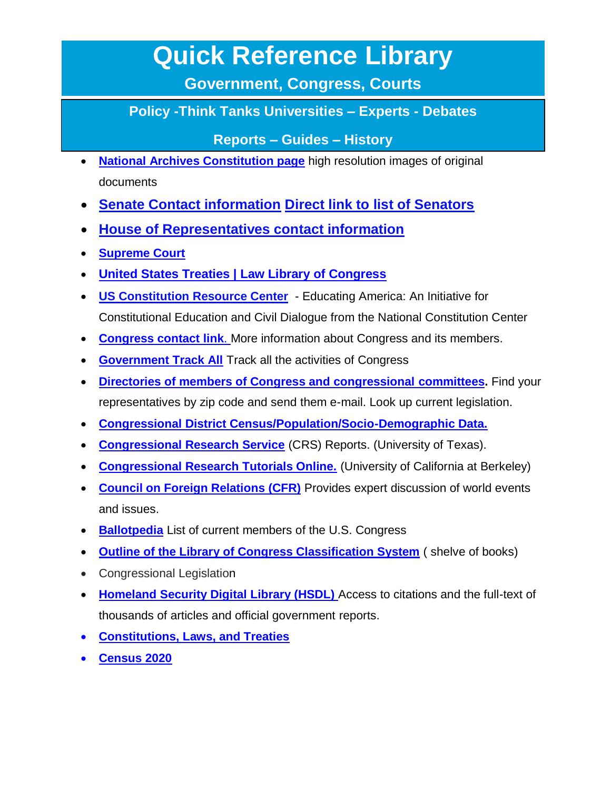## **Quick Reference Library**

**Government, Congress, Courts**

**Policy -Think Tanks Universities – Experts - Debates** 

**Reports – Guides – History** 

- **[National Archives Constitution page](http://www.archives.gov/national-archives-experience/charters/constitution.html)** high resolution images of original documents
- **Senate Contact information [Direct link to list of Senators](https://www.senate.gov/general/contact_information/senators_cfm.cfm)**
- **[House of Representatives contact information](https://www.house.gov/representatives)**
- **[Supreme Court](http://www.supremecourt.gov/)**
- **[United States Treaties | Law Library of Congress](https://www.loc.gov/)**
- **[US Constitution Resource Center](https://constitutioncenter.org/learn/educational-resources)** Educating America: An Initiative for Constitutional Education and Civil Dialogue from the National Constitution Center
- **Congress [contact link](https://www.congress.gov/contact-us)**. More information about Congress and its members.
- **[Government Track All](https://www.govtrack.us/)** Track all the activities of Congress
- **[Directories of members of Congress and congressional committees.](https://www.house.gov/committees)** Find your representatives by zip code and send them e-mail. Look up current legislation.
- **[Congressional District Census/Population/Socio-Demographic Data.](https://data.census.gov/cedsci/)**
- **[Congressional Research Service](http://digital.library.unt.edu/govdocs/crs/)** (CRS) Reports. (University of Texas).
- **[Congressional Research Tutorials Online.](https://guides.lib.berkeley.edu/US-Congress/Journals)** (University of California at Berkeley)
- **[Council on Foreign Relations \(CFR\)](http://www.cfr.org/)** Provides expert discussion of world events and issues.
- **[Ballotpedia](https://ballotpedia.org/Main_Page)** List of current members of the U.S. Congress
- **[Outline of the Library of Congress Classification System](http://www.loc.gov/catdir/cpso/lcco/lcco.html)** ( shelve of books)
- Congressional Legislation
- **[Homeland Security Digital Library \(HSDL\)](https://www.hsdl.org/)** Access to citations and the full-text of thousands of articles and official government reports.
- **[Constitutions, Laws, and Treaties](https://www.archives.gov/founding-docs/constitution-transcript)**
- **[Census 2020](https://www.census.gov/en.html)**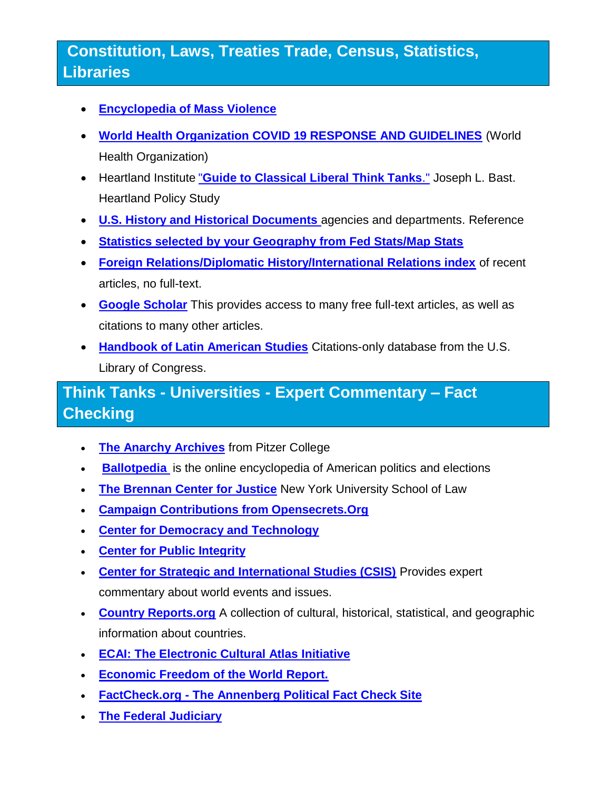## **Constitution, Laws, Treaties Trade, Census, Statistics, Libraries**

- **[Encyclopedia of Mass Violence](http://www.sciencespo.fr/mass-violence-war-massacre-resistance/)**
- **[World Health Organization COVID 19 RESPONSE AND GUIDELINES](https://www.who.int/emergencies/diseases/novel-coronavirus-2019?gclid=Cj0KCQjwvO2IBhCzARIsALw3ASrklBOp-JWHpj-nnzmTn_2VDIhJMFTHT9fdyLaMyVJkgcs7nVwM8nYaAok7EALw_wcB)** (World Health Organization)
- Heartland Institute "**[Guide to Classical Liberal Think Tanks](https://www.heartland.org/publications-resources/publications/the-heartlander-july-2005-1)**." Joseph L. Bast. Heartland Policy Study
- **[U.S. History and Historical Documents](https://www.usa.gov/history)** agencies and departments. Reference
- **[Statistics selected by your Geography from Fed Stats/Map Stats](https://nces.ed.gov/FCSM/index.asp)**
- **[Foreign Relations/Diplomatic History/International Relations index](https://history.state.gov/)** of recent articles, no full-text.
- **[Google Scholar](http://scholar.google.com/)** This provides access to many free full-text articles, as well as citations to many other articles.
- **[Handbook of Latin American Studies](http://memory.loc.gov/hlas/)** Citations-only database from the U.S. Library of Congress.

## **Think Tanks - Universities - Expert Commentary – Fact Checking**

- **[The Anarchy Archives](http://dwardmac.pitzer.edu/Anarchist_Archives/)** from Pitzer College
- **Ballotpedia** is the online encyclopedia of American politics and elections
- **[The Brennan Center for Justice](https://www.googleadservices.com/pagead/aclk?sa=L&ai=DChcSEwivq7_wsrjyAhUqDK0GHbtADpoYABAAGgJwdg&ohost=www.google.com&cid=CAESQOD2Eksitgfq6-qD7tBc9pOtVtX9VOLDXdq4cULmFip0EloD-qfJVoJMjZRyNHB7BJVWeE9lhR0-bWn7ZQeB8XI&sig=AOD64_1APXMNaB7UuuLQyunzH5vQwdMDHg&q&adurl&ved=2ahUKEwjx7azwsrjyAhXuGTQIHdvHCS0Q0Qx6BAgEEAE)** New York University School of Law
- **[Campaign Contributions from Opensecrets.Org](http://www.opensecrets.org/)**
- **[Center for Democracy and Technology](http://www.cdt.org/)**
- **[Center for Public Integrity](http://www.publicintegrity.org/)**
- **[Center for Strategic and International Studies \(CSIS\)](http://www.csis.org/)** Provides expert commentary about world events and issues.
- **[Country Reports.org](http://www.countryreports.org/)** A collection of cultural, historical, statistical, and geographic information about countries.
- **[ECAI: The Electronic Cultural Atlas Initiative](http://www.ecai.org/)**
- **[Economic Freedom of the World Report.](http://www.freetheworld.com/)**
- **FactCheck.org - [The Annenberg Political Fact Check Site](http://www.factcheck.org/)**
- **[The Federal Judiciary](http://www.uscourts.gov/)**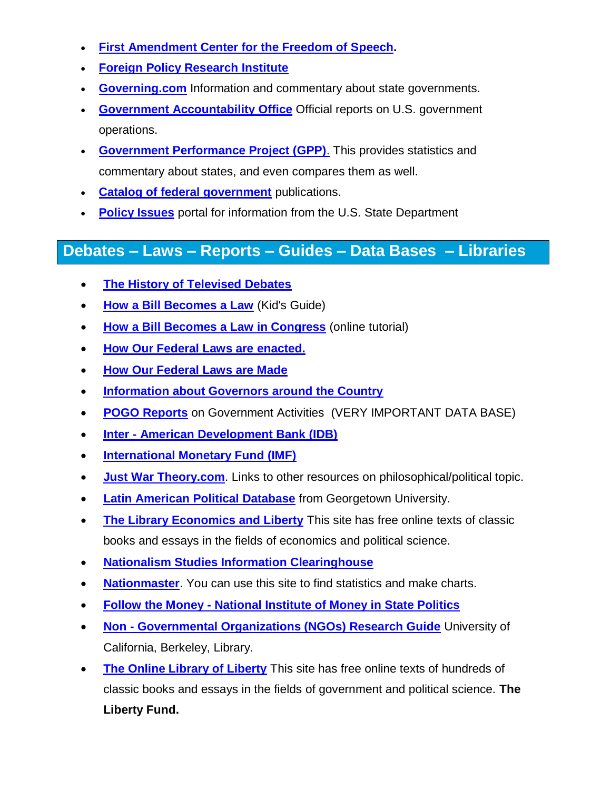- **[First Amendment Center for the Freedom of Speech.](http://www.firstamendmentcenter.org/)**
- **[Foreign Policy Research Institute](http://www.fpri.org/)**
- **[Governing.com](http://www.governing.com/)** Information and commentary about state governments.
- **[Government Accountability Office](http://www.gao.gov/)** Official reports on U.S. government operations.
- **[Government Performance Project \(GPP\)](http://www.pewtrusts.org/en/archived-projects/government-performance-project)**. This provides statistics and commentary about states, and even compares them as well.
- **[Catalog of federal government](https://catalog.gpo.gov/F?RN=83063099)** publications.
- **[Policy Issues](https://www.state.gov/policy-issues/)** portal for information from the U.S. State Department

## **Debates – Laws – Reports – Guides – Data Bases – Libraries**

- **[The History of Televised Debates](http://www.museum.tv/debateweb/html/index.htm)**
- **[How a Bill Becomes a Law](https://kids-clerk.house.gov/grade-school/lesson.html?intID=17)** (Kid's Guide)
- **[How a Bill Becomes a Law in Congress](https://youtu.be/B45S0K_tQKA)** (online tutorial)
- **[How Our Federal Laws are enacted.](http://thomas.loc.gov/home/enactment/enactlawtoc.html)**
- **[How Our Federal Laws are Made](https://youtu.be/3bBfGLehq88)**
- **[Information about Governors around the Country](http://www.nga.org/governors)**
- **[POGO Reports](http://www.pogo.org/our-work/)** on Government Activities (VERY IMPORTANT DATA BASE)
- **Inter - [American Development Bank \(IDB\)](http://www.iadb.org/)**
- **[International Monetary Fund \(IMF\)](http://www.imf.org/)**
- **[Just War Theory.com](http://www.justwartheory.com/)**. Links to other resources on philosophical/political topic.
- **[Latin American Political Database](http://pdba.georgetown.edu/)** from Georgetown University.
- **[The Library Economics and Liberty](http://www.econlib.org/)** This site has free online texts of classic books and essays in the fields of economics and political science.
- **[Nationalism Studies Information Clearinghouse](http://www.nationalismproject.org/)**
- **[Nationmaster](http://www.nationmaster.com/)**. You can use this site to find statistics and make charts.
- **Follow the Money - [National Institute of Money in State Politics](https://www.followthemoney.org/)**
- **Non - [Governmental Organizations \(NGOs\) Research Guide](http://www.lib.berkeley.edu/doemoff/govinfo/intl/gov_ngos.html)** University of California, Berkeley, Library.
- **[The Online Library of Liberty](http://oll.libertyfund.org/)** This site has free online texts of hundreds of classic books and essays in the fields of government and political science. **The Liberty Fund.**